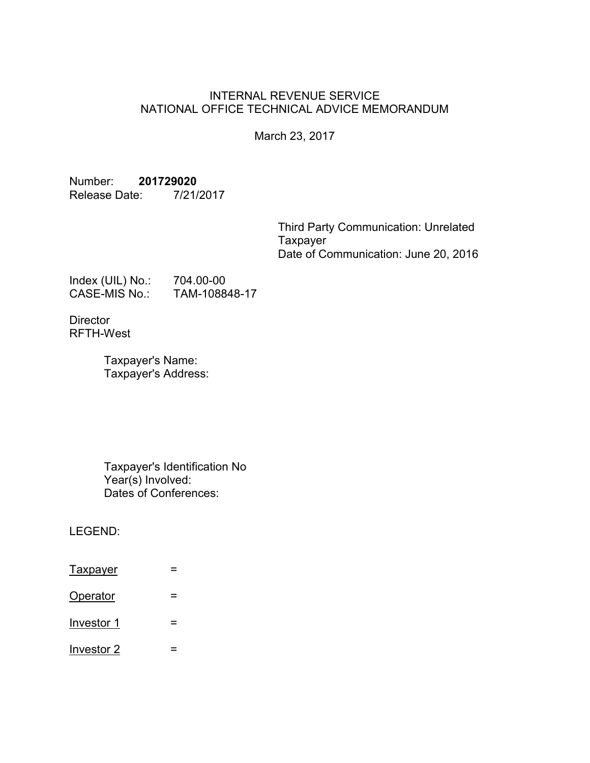### INTERNAL REVENUE SERVICE NATIONAL OFFICE TECHNICAL ADVICE MEMORANDUM

March 23, 2017

Number: **201729020** Release Date: 7/21/2017

> Third Party Communication: Unrelated **Taxpayer** Date of Communication: June 20, 2016

Index (UIL) No.: 704.00-00 CASE-MIS No.: TAM-108848-17

**Director** RFTH-West

> Taxpayer's Name: Taxpayer's Address:

Taxpayer's Identification No Year(s) Involved: Dates of Conferences:

LEGEND:

| <b>Taxpayer</b> |  |
|-----------------|--|
| Operator        |  |
| Investor 1      |  |
| Investor 2      |  |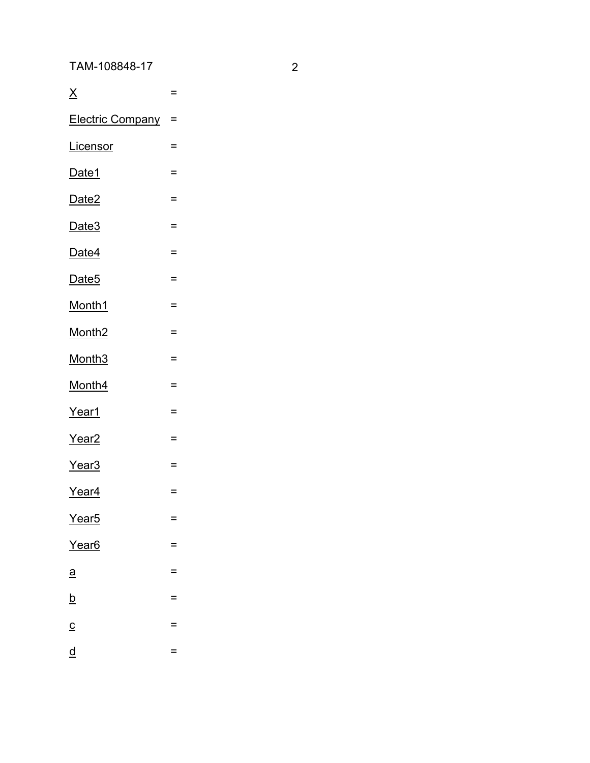TAM-108848-17 2

| $\underline{X}$          | $=$ |
|--------------------------|-----|
| <b>Electric Company</b>  | $=$ |
| Licensor                 | Ξ   |
| Date1                    | $=$ |
| Date <sub>2</sub>        | $=$ |
| Date <sub>3</sub>        | $=$ |
| Date4                    | $=$ |
| Date <sub>5</sub>        | $=$ |
| Month1                   | $=$ |
| Month <sub>2</sub>       | $=$ |
| Month <sub>3</sub>       | $=$ |
| Month4                   | $=$ |
| Year1                    | $=$ |
| Year <sub>2</sub>        | $=$ |
| Year <sub>3</sub>        | $=$ |
| Year <sub>4</sub>        | $=$ |
| Year <sub>5</sub>        | =   |
| Year <sub>6</sub>        | Ξ   |
| $\underline{a}$          | $=$ |
| $\underline{b}$          | $=$ |
| $\underline{\mathsf{C}}$ | =   |
| $\underline{\mathsf{d}}$ | =   |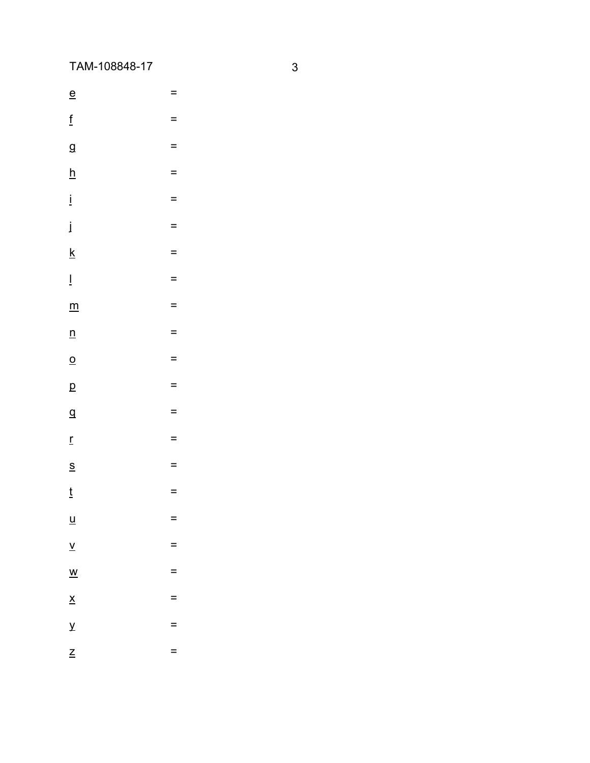TAM-108848-17

 $\underline{\mathsf{e}}$  $\equiv$ 

- $\underline{\mathbf{f}}$  $\equiv$
- $\overline{g}$  $\underline{\mathsf{h}}$  $\equiv$

 $\equiv$ 

- $\frac{1}{2}$  $\equiv$
- $\dot{\mathbf{I}}$  $\equiv$
- $\underline{k}$  $\equiv$
- $\bar{\Gamma}$  $\equiv$
- 
- $\underline{\mathsf{m}}$  $\equiv$
- $\underline{n}$  $\equiv$
- $\overline{o}$  $\equiv$
- $\overline{p}$  $\equiv$
- $\overline{\mathsf{q}}$  $\equiv$
- $\mathbf{r}$  $\equiv$
- $\underline{s}$  $\equiv$
- $\frac{t}{2}$  $\equiv$
- $\underline{\mathsf{u}}$  $\equiv$
- $\underline{v}$  $\equiv$  $\equiv$
- $\underline{\mathsf{w}}$  $\underline{\mathsf{x}}$  $\equiv$
- $\overline{\mathbf{Y}}$  $\equiv$
- $\mathsf{Z}$ 
	- $\equiv$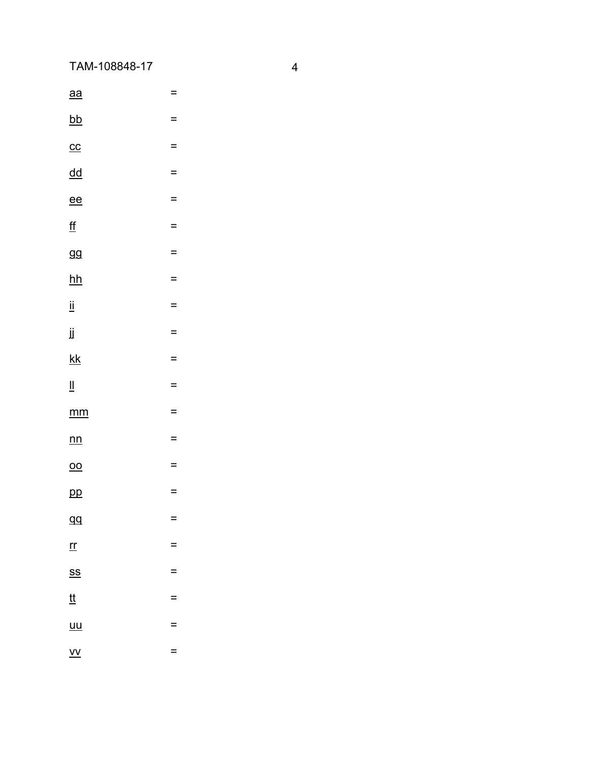TAM-108848-17

| $\underline{aa}$                                           | Ξ   |
|------------------------------------------------------------|-----|
| <u>bb</u>                                                  | $=$ |
| $cc$                                                       | =   |
| $\overline{d}\overline{d}$                                 | =   |
| $e$ ee                                                     | $=$ |
| <u>ff</u>                                                  | $=$ |
| 99                                                         | $=$ |
| $hh$                                                       | =   |
| ij                                                         | $=$ |
| ij                                                         | =   |
| $\underline{\mathsf{k}}$                                   | $=$ |
| $\mathbf{\underline{\mathsf{II}}}$                         | $=$ |
|                                                            |     |
| $\underline{mm}$                                           | =   |
| n n                                                        | =   |
| $\underline{00}$                                           | $=$ |
| p                                                          | =   |
| qд                                                         |     |
| $\underline{\mathsf{r}\mathsf{r}}$                         | =   |
| <u>SS</u>                                                  | =   |
| <u>tt</u>                                                  | =   |
| $\underline{\underline{\mathsf{u}}\underline{\mathsf{u}}}$ | =   |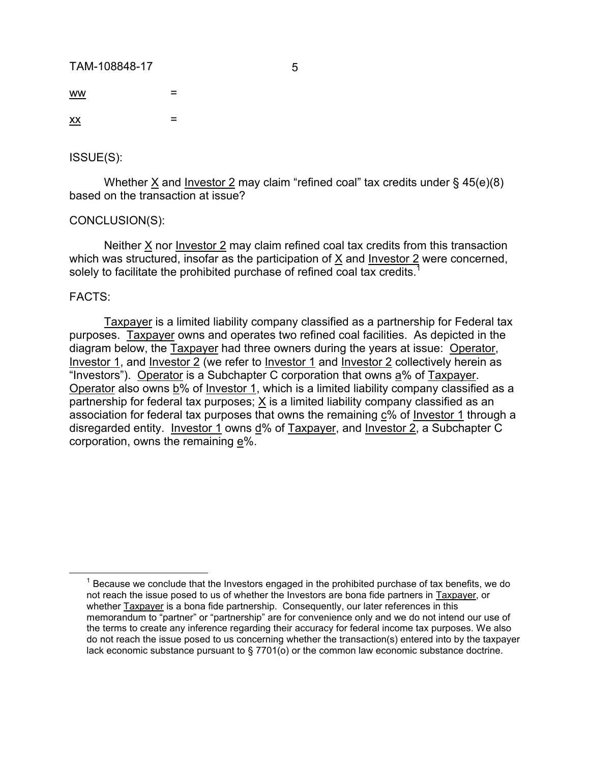TAM-108848-17 5

 $ww =$  $\frac{XX}{X}$  =

ISSUE(S):

Whether X and Investor 2 may claim "refined coal" tax credits under § 45(e)(8) based on the transaction at issue?

### CONCLUSION(S):

Neither X nor Investor 2 may claim refined coal tax credits from this transaction which was structured, insofar as the participation of  $\underline{X}$  and <u>Investor 2</u> were concerned, solely to facilitate the prohibited purchase of refined coal tax credits.<sup>1</sup>

### FACTS:

 $\overline{a}$ 

Taxpayer is a limited liability company classified as a partnership for Federal tax purposes. Taxpayer owns and operates two refined coal facilities. As depicted in the diagram below, the Taxpayer had three owners during the years at issue: Operator, Investor 1, and Investor 2 (we refer to Investor 1 and Investor 2 collectively herein as "Investors"). Operator is a Subchapter C corporation that owns a% of Taxpayer. Operator also owns b% of Investor 1, which is a limited liability company classified as a partnership for federal tax purposes;  $X$  is a limited liability company classified as an association for federal tax purposes that owns the remaining c% of Investor 1 through a disregarded entity. Investor 1 owns d% of Taxpayer, and Investor 2, a Subchapter C corporation, owns the remaining e%.

 $1$  Because we conclude that the Investors engaged in the prohibited purchase of tax benefits, we do not reach the issue posed to us of whether the Investors are bona fide partners in Taxpayer, or whether Taxpayer is a bona fide partnership. Consequently, our later references in this memorandum to "partner" or "partnership" are for convenience only and we do not intend our use of the terms to create any inference regarding their accuracy for federal income tax purposes. We also do not reach the issue posed to us concerning whether the transaction(s) entered into by the taxpayer lack economic substance pursuant to § 7701(o) or the common law economic substance doctrine.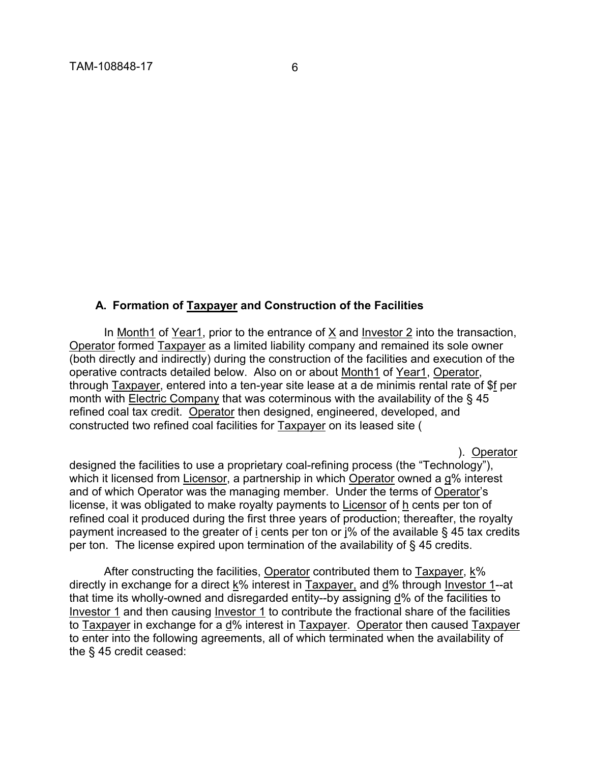#### **A. Formation of Taxpayer and Construction of the Facilities**

In Month1 of Year1, prior to the entrance of X and Investor 2 into the transaction, Operator formed Taxpayer as a limited liability company and remained its sole owner (both directly and indirectly) during the construction of the facilities and execution of the operative contracts detailed below. Also on or about Month1 of Year1, Operator, through Taxpayer, entered into a ten-year site lease at a de minimis rental rate of \$f per month with Electric Company that was coterminous with the availability of the § 45 refined coal tax credit. Operator then designed, engineered, developed, and constructed two refined coal facilities for Taxpayer on its leased site (

). Operator

designed the facilities to use a proprietary coal-refining process (the "Technology"), which it licensed from Licensor, a partnership in which Operator owned a g% interest and of which Operator was the managing member. Under the terms of Operator's license, it was obligated to make royalty payments to Licensor of h cents per ton of refined coal it produced during the first three years of production; thereafter, the royalty payment increased to the greater of i cents per ton or j% of the available § 45 tax credits per ton. The license expired upon termination of the availability of § 45 credits.

After constructing the facilities, Operator contributed them to Taxpayer, k% directly in exchange for a direct k% interest in Taxpayer, and d% through Investor 1--at that time its wholly-owned and disregarded entity--by assigning d% of the facilities to Investor 1 and then causing Investor 1 to contribute the fractional share of the facilities to Taxpayer in exchange for a d% interest in Taxpayer. Operator then caused Taxpayer to enter into the following agreements, all of which terminated when the availability of the § 45 credit ceased: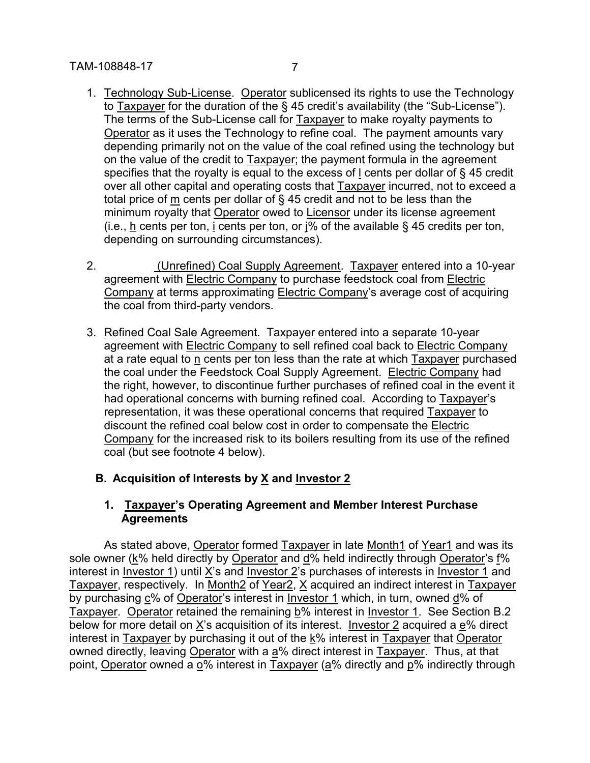- 1. Technology Sub-License. Operator sublicensed its rights to use the Technology to Taxpayer for the duration of the § 45 credit's availability (the "Sub-License"). The terms of the Sub-License call for Taxpayer to make royalty payments to Operator as it uses the Technology to refine coal. The payment amounts vary depending primarily not on the value of the coal refined using the technology but on the value of the credit to Taxpayer; the payment formula in the agreement specifies that the royalty is equal to the excess of l cents per dollar of § 45 credit over all other capital and operating costs that Taxpayer incurred, not to exceed a total price of m cents per dollar of § 45 credit and not to be less than the minimum royalty that Operator owed to Licensor under its license agreement (i.e., h cents per ton, i cents per ton, or  $\frac{1}{6}$  of the available § 45 credits per ton, depending on surrounding circumstances).
- 2. **Interal Coal Supply Agreement. Taxpayer entered into a 10-year** agreement with Electric Company to purchase feedstock coal from Electric Company at terms approximating Electric Company's average cost of acquiring the coal from third-party vendors.
- 3. Refined Coal Sale Agreement. Taxpayer entered into a separate 10-year agreement with **Electric Company to sell refined coal back to Electric Company** at a rate equal to n cents per ton less than the rate at which Taxpayer purchased the coal under the Feedstock Coal Supply Agreement. Electric Company had the right, however, to discontinue further purchases of refined coal in the event it had operational concerns with burning refined coal. According to Taxpayer's representation, it was these operational concerns that required Taxpayer to discount the refined coal below cost in order to compensate the Electric Company for the increased risk to its boilers resulting from its use of the refined coal (but see footnote 4 below).

## **B. Acquisition of Interests by X and Investor 2**

### **1. Taxpayer's Operating Agreement and Member Interest Purchase Agreements**

As stated above, Operator formed Taxpayer in late Month1 of Year1 and was its sole owner (k% held directly by Operator and d% held indirectly through Operator's f% interest in Investor 1) until X's and Investor 2's purchases of interests in Investor 1 and Taxpayer, respectively. In Month2 of Year2, X acquired an indirect interest in Taxpayer by purchasing c% of Operator's interest in Investor 1 which, in turn, owned d% of Taxpayer. Operator retained the remaining b% interest in Investor 1. See Section B.2 below for more detail on X's acquisition of its interest. Investor 2 acquired a e% direct interest in  $T$ axpayer by purchasing it out of the  $k\%$  interest in Taxpayer that Operator owned directly, leaving Operator with a  $a\%$  direct interest in Taxpayer. Thus, at that point, Operator owned a o% interest in Taxpayer (a% directly and p% indirectly through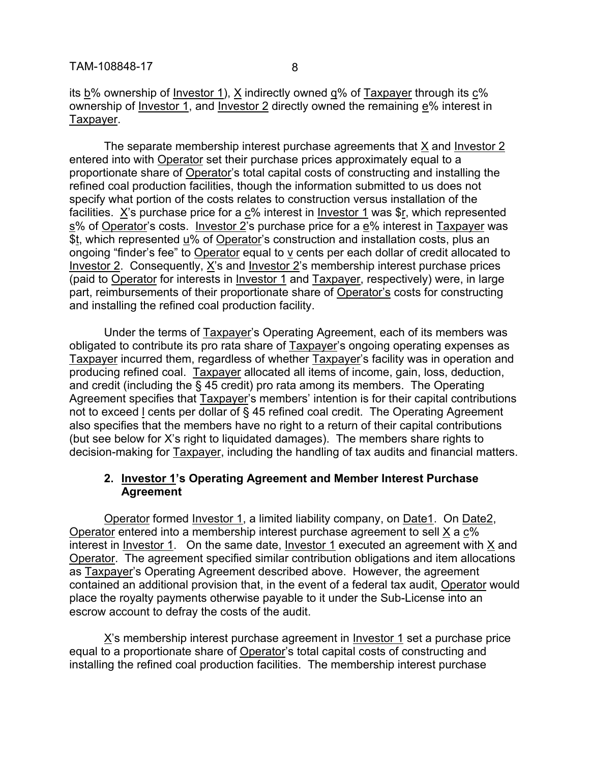its b% ownership of Investor 1), X indirectly owned q% of Taxpayer through its c% ownership of Investor 1, and Investor 2 directly owned the remaining e% interest in Taxpayer.

The separate membership interest purchase agreements that X and Investor 2 entered into with Operator set their purchase prices approximately equal to a proportionate share of Operator's total capital costs of constructing and installing the refined coal production facilities, though the information submitted to us does not specify what portion of the costs relates to construction versus installation of the facilities. X's purchase price for a c% interest in Investor 1 was \$r, which represented s% of Operator's costs. Investor 2's purchase price for a e% interest in Taxpayer was \$t, which represented u% of Operator's construction and installation costs, plus an ongoing "finder's fee" to Operator equal to  $\underline{v}$  cents per each dollar of credit allocated to Investor 2. Consequently, X's and Investor 2's membership interest purchase prices (paid to Operator for interests in Investor 1 and Taxpayer, respectively) were, in large part, reimbursements of their proportionate share of Operator's costs for constructing and installing the refined coal production facility.

Under the terms of Taxpayer's Operating Agreement, each of its members was obligated to contribute its pro rata share of Taxpayer's ongoing operating expenses as Taxpayer incurred them, regardless of whether Taxpayer's facility was in operation and producing refined coal. Taxpayer allocated all items of income, gain, loss, deduction, and credit (including the § 45 credit) pro rata among its members. The Operating Agreement specifies that Taxpayer's members' intention is for their capital contributions not to exceed I cents per dollar of § 45 refined coal credit. The Operating Agreement also specifies that the members have no right to a return of their capital contributions (but see below for X's right to liquidated damages). The members share rights to decision-making for Taxpayer, including the handling of tax audits and financial matters.

#### **2. Investor 1's Operating Agreement and Member Interest Purchase Agreement**

Operator formed Investor 1, a limited liability company, on Date1. On Date2, Operator entered into a membership interest purchase agreement to sell X a c% interest in Investor 1. On the same date, Investor 1 executed an agreement with X and Operator. The agreement specified similar contribution obligations and item allocations as Taxpayer's Operating Agreement described above. However, the agreement contained an additional provision that, in the event of a federal tax audit, Operator would place the royalty payments otherwise payable to it under the Sub-License into an escrow account to defray the costs of the audit.

X's membership interest purchase agreement in Investor 1 set a purchase price equal to a proportionate share of Operator's total capital costs of constructing and installing the refined coal production facilities. The membership interest purchase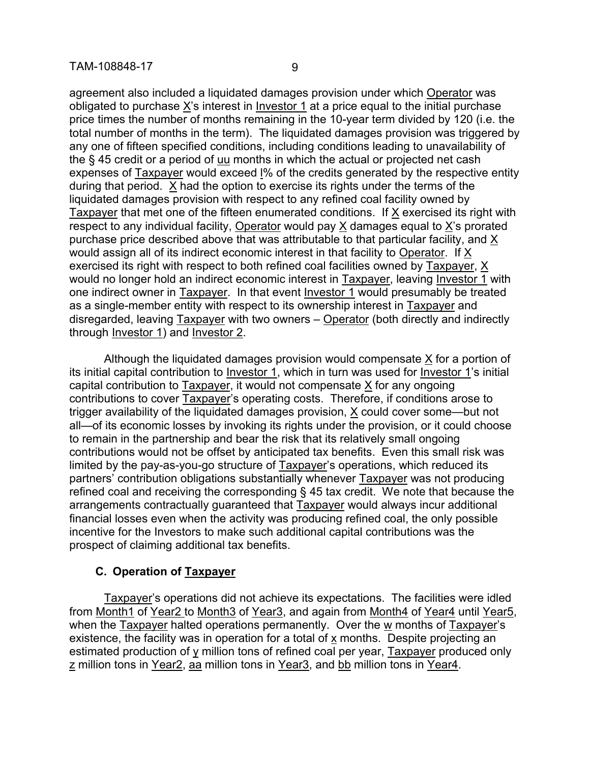agreement also included a liquidated damages provision under which Operator was obligated to purchase X's interest in Investor 1 at a price equal to the initial purchase price times the number of months remaining in the 10-year term divided by 120 (i.e. the total number of months in the term). The liquidated damages provision was triggered by any one of fifteen specified conditions, including conditions leading to unavailability of the § 45 credit or a period of uu months in which the actual or projected net cash expenses of Taxpayer would exceed l% of the credits generated by the respective entity during that period. X had the option to exercise its rights under the terms of the liquidated damages provision with respect to any refined coal facility owned by Taxpayer that met one of the fifteen enumerated conditions. If X exercised its right with respect to any individual facility, Operator would pay X damages equal to X's prorated purchase price described above that was attributable to that particular facility, and X would assign all of its indirect economic interest in that facility to Operator. If X exercised its right with respect to both refined coal facilities owned by Taxpayer, X would no longer hold an indirect economic interest in Taxpayer, leaving Investor 1 with one indirect owner in Taxpayer. In that event Investor 1 would presumably be treated as a single-member entity with respect to its ownership interest in Taxpayer and disregarded, leaving Taxpayer with two owners – Operator (both directly and indirectly through Investor 1) and Investor 2.

Although the liquidated damages provision would compensate X for a portion of its initial capital contribution to Investor 1, which in turn was used for Investor 1's initial capital contribution to Taxpayer, it would not compensate X for any ongoing contributions to cover Taxpayer's operating costs. Therefore, if conditions arose to trigger availability of the liquidated damages provision, X could cover some—but not all—of its economic losses by invoking its rights under the provision, or it could choose to remain in the partnership and bear the risk that its relatively small ongoing contributions would not be offset by anticipated tax benefits. Even this small risk was limited by the pay-as-you-go structure of Taxpayer's operations, which reduced its partners' contribution obligations substantially whenever Taxpayer was not producing refined coal and receiving the corresponding § 45 tax credit. We note that because the arrangements contractually guaranteed that Taxpayer would always incur additional financial losses even when the activity was producing refined coal, the only possible incentive for the Investors to make such additional capital contributions was the prospect of claiming additional tax benefits.

### **C. Operation of Taxpayer**

Taxpayer's operations did not achieve its expectations. The facilities were idled from Month1 of Year2 to Month3 of Year3, and again from Month4 of Year4 until Year5, when the Taxpayer halted operations permanently. Over the w months of Taxpayer's existence, the facility was in operation for a total of x months. Despite projecting an estimated production of  $\gamma$  million tons of refined coal per year, Taxpayer produced only z million tons in Year2, aa million tons in Year3, and bb million tons in Year4.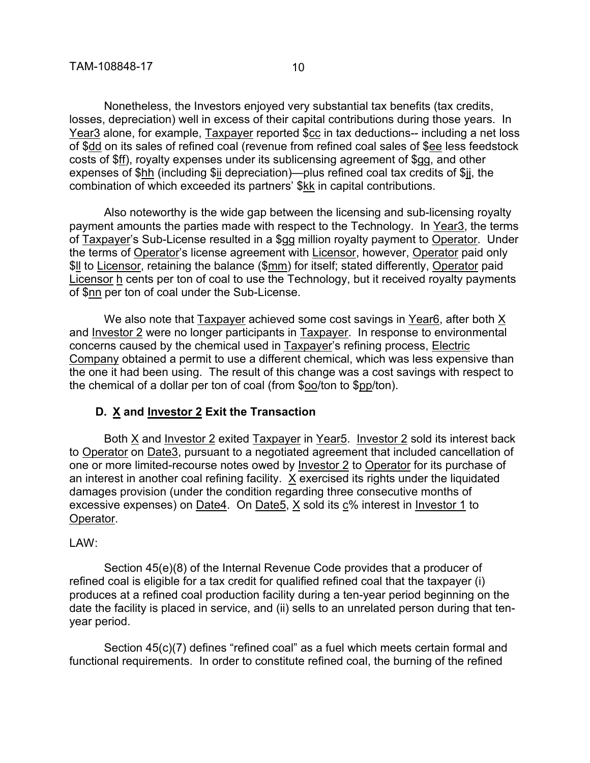Nonetheless, the Investors enjoyed very substantial tax benefits (tax credits, losses, depreciation) well in excess of their capital contributions during those years. In Year3 alone, for example, Taxpayer reported \$cc in tax deductions-- including a net loss of \$dd on its sales of refined coal (revenue from refined coal sales of \$ee less feedstock costs of \$ff), royalty expenses under its sublicensing agreement of \$gg, and other expenses of \$hh (including \$ii depreciation)—plus refined coal tax credits of \$ij, the combination of which exceeded its partners' \$kk in capital contributions.

Also noteworthy is the wide gap between the licensing and sub-licensing royalty payment amounts the parties made with respect to the Technology. In Year3, the terms of Taxpayer's Sub-License resulted in a \$gg million royalty payment to Operator. Under the terms of Operator's license agreement with Licensor, however, Operator paid only \$ll to Licensor, retaining the balance (\$mm) for itself; stated differently, Operator paid Licensor h cents per ton of coal to use the Technology, but it received royalty payments of \$nn per ton of coal under the Sub-License.

We also note that Taxpayer achieved some cost savings in Year6, after both X and Investor 2 were no longer participants in Taxpayer. In response to environmental concerns caused by the chemical used in Taxpayer's refining process, Electric Company obtained a permit to use a different chemical, which was less expensive than the one it had been using. The result of this change was a cost savings with respect to the chemical of a dollar per ton of coal (from \$oo/ton to \$pp/ton).

### **D. X and Investor 2 Exit the Transaction**

Both X and Investor 2 exited Taxpayer in Year5. Investor 2 sold its interest back to Operator on Date3, pursuant to a negotiated agreement that included cancellation of one or more limited-recourse notes owed by Investor 2 to Operator for its purchase of an interest in another coal refining facility. X exercised its rights under the liquidated damages provision (under the condition regarding three consecutive months of excessive expenses) on Date4. On Date5, X sold its c% interest in Investor 1 to Operator.

#### LAW:

Section 45(e)(8) of the Internal Revenue Code provides that a producer of refined coal is eligible for a tax credit for qualified refined coal that the taxpayer (i) produces at a refined coal production facility during a ten-year period beginning on the date the facility is placed in service, and (ii) sells to an unrelated person during that tenyear period.

Section 45(c)(7) defines "refined coal" as a fuel which meets certain formal and functional requirements. In order to constitute refined coal, the burning of the refined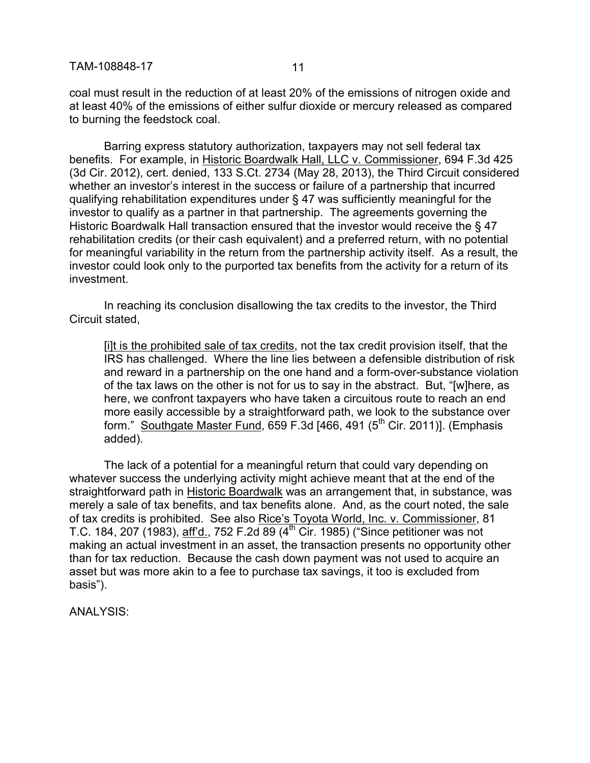coal must result in the reduction of at least 20% of the emissions of nitrogen oxide and at least 40% of the emissions of either sulfur dioxide or mercury released as compared to burning the feedstock coal.

Barring express statutory authorization, taxpayers may not sell federal tax benefits. For example, in Historic Boardwalk Hall, LLC v. Commissioner, 694 F.3d 425 (3d Cir. 2012), cert. denied, 133 S.Ct. 2734 (May 28, 2013), the Third Circuit considered whether an investor's interest in the success or failure of a partnership that incurred qualifying rehabilitation expenditures under § 47 was sufficiently meaningful for the investor to qualify as a partner in that partnership. The agreements governing the Historic Boardwalk Hall transaction ensured that the investor would receive the § 47 rehabilitation credits (or their cash equivalent) and a preferred return, with no potential for meaningful variability in the return from the partnership activity itself. As a result, the investor could look only to the purported tax benefits from the activity for a return of its investment.

In reaching its conclusion disallowing the tax credits to the investor, the Third Circuit stated,

[i]t is the prohibited sale of tax credits, not the tax credit provision itself, that the IRS has challenged. Where the line lies between a defensible distribution of risk and reward in a partnership on the one hand and a form-over-substance violation of the tax laws on the other is not for us to say in the abstract. But, "[w]here, as here, we confront taxpayers who have taken a circuitous route to reach an end more easily accessible by a straightforward path, we look to the substance over form." Southgate Master Fund, 659 F.3d  $[466, 491 (5<sup>th</sup> Cir. 2011)]$ . (Emphasis added).

The lack of a potential for a meaningful return that could vary depending on whatever success the underlying activity might achieve meant that at the end of the straightforward path in Historic Boardwalk was an arrangement that, in substance, was merely a sale of tax benefits, and tax benefits alone. And, as the court noted, the sale of tax credits is prohibited. See also Rice's Toyota World, Inc. v. Commissioner, 81 T.C. 184, 207 (1983), aff'd., 752 F.2d 89 (4th Cir. 1985) ("Since petitioner was not making an actual investment in an asset, the transaction presents no opportunity other than for tax reduction. Because the cash down payment was not used to acquire an asset but was more akin to a fee to purchase tax savings, it too is excluded from basis").

ANALYSIS: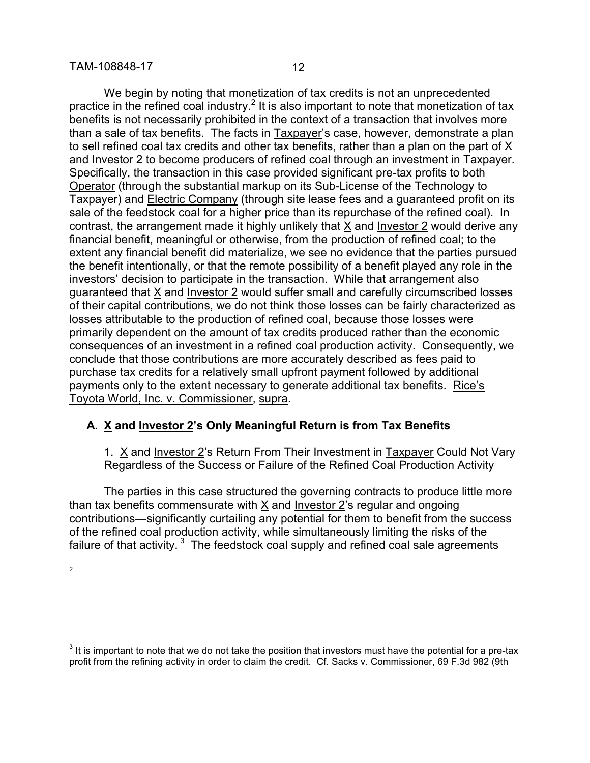We begin by noting that monetization of tax credits is not an unprecedented practice in the refined coal industry.<sup>2</sup> It is also important to note that monetization of tax benefits is not necessarily prohibited in the context of a transaction that involves more than a sale of tax benefits. The facts in Taxpayer's case, however, demonstrate a plan to sell refined coal tax credits and other tax benefits, rather than a plan on the part of X and Investor 2 to become producers of refined coal through an investment in Taxpayer. Specifically, the transaction in this case provided significant pre-tax profits to both Operator (through the substantial markup on its Sub-License of the Technology to Taxpayer) and Electric Company (through site lease fees and a guaranteed profit on its sale of the feedstock coal for a higher price than its repurchase of the refined coal). In contrast, the arrangement made it highly unlikely that X and Investor 2 would derive any financial benefit, meaningful or otherwise, from the production of refined coal; to the extent any financial benefit did materialize, we see no evidence that the parties pursued the benefit intentionally, or that the remote possibility of a benefit played any role in the investors' decision to participate in the transaction. While that arrangement also guaranteed that X and Investor 2 would suffer small and carefully circumscribed losses of their capital contributions, we do not think those losses can be fairly characterized as losses attributable to the production of refined coal, because those losses were primarily dependent on the amount of tax credits produced rather than the economic consequences of an investment in a refined coal production activity. Consequently, we conclude that those contributions are more accurately described as fees paid to purchase tax credits for a relatively small upfront payment followed by additional payments only to the extent necessary to generate additional tax benefits. Rice's Toyota World, Inc. v. Commissioner, supra.

# **A. X and Investor 2's Only Meaningful Return is from Tax Benefits**

1. X and Investor 2's Return From Their Investment in Taxpayer Could Not Vary Regardless of the Success or Failure of the Refined Coal Production Activity

The parties in this case structured the governing contracts to produce little more than tax benefits commensurate with X and Investor 2's regular and ongoing contributions—significantly curtailing any potential for them to benefit from the success of the refined coal production activity, while simultaneously limiting the risks of the failure of that activity.  $3$  The feedstock coal supply and refined coal sale agreements

 $\frac{1}{2}$ 

 $3$  It is important to note that we do not take the position that investors must have the potential for a pre-tax profit from the refining activity in order to claim the credit. Cf. Sacks v. Commissioner, 69 F.3d 982 (9th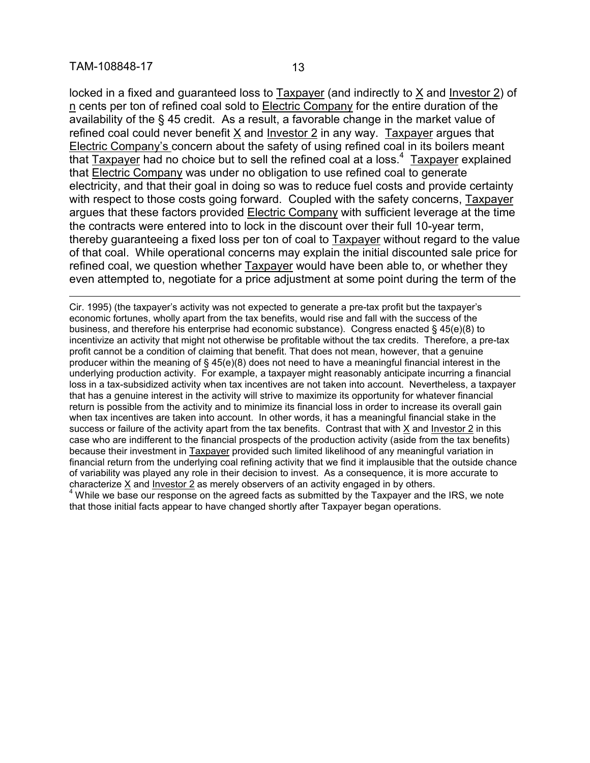$\overline{a}$ 

locked in a fixed and guaranteed loss to Taxpayer (and indirectly to X and Investor 2) of n cents per ton of refined coal sold to Electric Company for the entire duration of the availability of the § 45 credit. As a result, a favorable change in the market value of refined coal could never benefit X and Investor 2 in any way. Taxpayer argues that Electric Company's concern about the safety of using refined coal in its boilers meant that Taxpayer had no choice but to sell the refined coal at a loss.<sup>4</sup> Taxpayer explained that Electric Company was under no obligation to use refined coal to generate electricity, and that their goal in doing so was to reduce fuel costs and provide certainty with respect to those costs going forward. Coupled with the safety concerns, Taxpayer argues that these factors provided Electric Company with sufficient leverage at the time the contracts were entered into to lock in the discount over their full 10-year term, thereby guaranteeing a fixed loss per ton of coal to Taxpayer without regard to the value of that coal. While operational concerns may explain the initial discounted sale price for refined coal, we question whether Taxpayer would have been able to, or whether they even attempted to, negotiate for a price adjustment at some point during the term of the

Cir. 1995) (the taxpayer's activity was not expected to generate a pre-tax profit but the taxpayer's economic fortunes, wholly apart from the tax benefits, would rise and fall with the success of the business, and therefore his enterprise had economic substance). Congress enacted § 45(e)(8) to incentivize an activity that might not otherwise be profitable without the tax credits. Therefore, a pre-tax profit cannot be a condition of claiming that benefit. That does not mean, however, that a genuine producer within the meaning of § 45(e)(8) does not need to have a meaningful financial interest in the underlying production activity. For example, a taxpayer might reasonably anticipate incurring a financial loss in a tax-subsidized activity when tax incentives are not taken into account. Nevertheless, a taxpayer that has a genuine interest in the activity will strive to maximize its opportunity for whatever financial return is possible from the activity and to minimize its financial loss in order to increase its overall gain when tax incentives are taken into account. In other words, it has a meaningful financial stake in the success or failure of the activity apart from the tax benefits. Contrast that with  $X$  and Investor  $2$  in this case who are indifferent to the financial prospects of the production activity (aside from the tax benefits) because their investment in Taxpayer provided such limited likelihood of any meaningful variation in financial return from the underlying coal refining activity that we find it implausible that the outside chance of variability was played any role in their decision to invest. As a consequence, it is more accurate to characterize  $X$  and Investor  $2$  as merely observers of an activity engaged in by others.  $4$  While we base our response on the agreed facts as submitted by the Taxpayer and the IRS, we note that those initial facts appear to have changed shortly after Taxpayer began operations.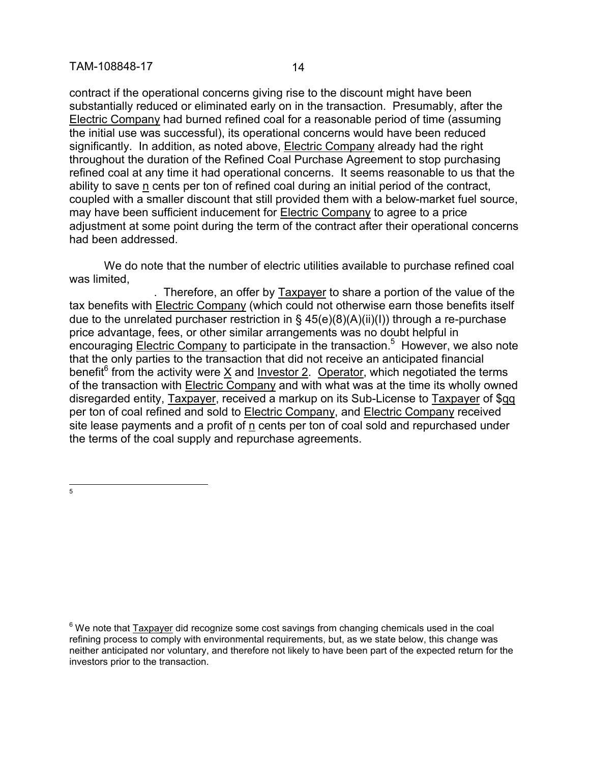contract if the operational concerns giving rise to the discount might have been substantially reduced or eliminated early on in the transaction. Presumably, after the Electric Company had burned refined coal for a reasonable period of time (assuming the initial use was successful), its operational concerns would have been reduced significantly. In addition, as noted above, Electric Company already had the right throughout the duration of the Refined Coal Purchase Agreement to stop purchasing refined coal at any time it had operational concerns. It seems reasonable to us that the ability to save n cents per ton of refined coal during an initial period of the contract, coupled with a smaller discount that still provided them with a below-market fuel source, may have been sufficient inducement for Electric Company to agree to a price adjustment at some point during the term of the contract after their operational concerns had been addressed.

We do note that the number of electric utilities available to purchase refined coal was limited.

. Therefore, an offer by Taxpayer to share a portion of the value of the tax benefits with Electric Company (which could not otherwise earn those benefits itself due to the unrelated purchaser restriction in  $\S$  45(e)(8)(A)(ii)(I)) through a re-purchase price advantage, fees, or other similar arrangements was no doubt helpful in encouraging **Electric Company** to participate in the transaction.<sup>5</sup> However, we also note that the only parties to the transaction that did not receive an anticipated financial benefit<sup>6</sup> from the activity were  $\underline{X}$  and Investor 2. Operator, which negotiated the terms of the transaction with Electric Company and with what was at the time its wholly owned disregarded entity, Taxpayer, received a markup on its Sub-License to Taxpayer of \$qq per ton of coal refined and sold to Electric Company, and Electric Company received site lease payments and a profit of n cents per ton of coal sold and repurchased under the terms of the coal supply and repurchase agreements.

 $\frac{1}{5}$ 

 $6$  We note that Taxpayer did recognize some cost savings from changing chemicals used in the coal refining process to comply with environmental requirements, but, as we state below, this change was neither anticipated nor voluntary, and therefore not likely to have been part of the expected return for the investors prior to the transaction.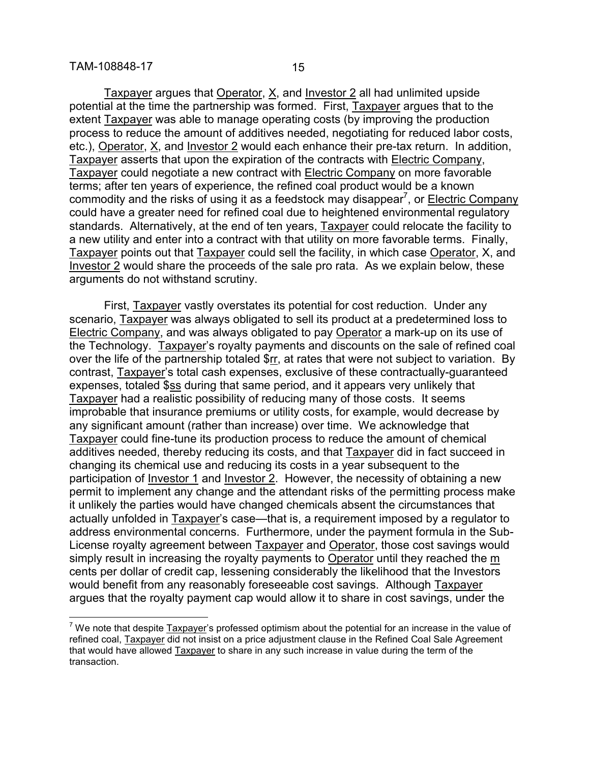$\overline{a}$ 

Taxpayer argues that Operator, X, and Investor 2 all had unlimited upside potential at the time the partnership was formed. First, Taxpayer argues that to the extent Taxpayer was able to manage operating costs (by improving the production process to reduce the amount of additives needed, negotiating for reduced labor costs, etc.), Operator, X, and Investor 2 would each enhance their pre-tax return. In addition, Taxpayer asserts that upon the expiration of the contracts with Electric Company, Taxpayer could negotiate a new contract with Electric Company on more favorable terms; after ten years of experience, the refined coal product would be a known commodity and the risks of using it as a feedstock may disappear<sup>7</sup>, or Electric Company could have a greater need for refined coal due to heightened environmental regulatory standards. Alternatively, at the end of ten years, Taxpayer could relocate the facility to a new utility and enter into a contract with that utility on more favorable terms. Finally, Taxpayer points out that Taxpayer could sell the facility, in which case Operator, X, and Investor 2 would share the proceeds of the sale pro rata. As we explain below, these arguments do not withstand scrutiny.

First, Taxpayer vastly overstates its potential for cost reduction. Under any scenario, Taxpayer was always obligated to sell its product at a predetermined loss to Electric Company, and was always obligated to pay Operator a mark-up on its use of the Technology. Taxpayer's royalty payments and discounts on the sale of refined coal over the life of the partnership totaled \$rr, at rates that were not subject to variation. By contrast, Taxpayer's total cash expenses, exclusive of these contractually-guaranteed expenses, totaled \$ss during that same period, and it appears very unlikely that Taxpayer had a realistic possibility of reducing many of those costs. It seems improbable that insurance premiums or utility costs, for example, would decrease by any significant amount (rather than increase) over time. We acknowledge that Taxpayer could fine-tune its production process to reduce the amount of chemical additives needed, thereby reducing its costs, and that Taxpayer did in fact succeed in changing its chemical use and reducing its costs in a year subsequent to the participation of Investor 1 and Investor 2. However, the necessity of obtaining a new permit to implement any change and the attendant risks of the permitting process make it unlikely the parties would have changed chemicals absent the circumstances that actually unfolded in Taxpayer's case—that is, a requirement imposed by a regulator to address environmental concerns. Furthermore, under the payment formula in the Sub-License royalty agreement between **Taxpayer** and **Operator**, those cost savings would simply result in increasing the royalty payments to Operator until they reached the m cents per dollar of credit cap, lessening considerably the likelihood that the Investors would benefit from any reasonably foreseeable cost savings. Although Taxpayer argues that the royalty payment cap would allow it to share in cost savings, under the

 $<sup>7</sup>$  We note that despite Taxpayer's professed optimism about the potential for an increase in the value of</sup> refined coal, Taxpayer did not insist on a price adjustment clause in the Refined Coal Sale Agreement that would have allowed Taxpayer to share in any such increase in value during the term of the transaction.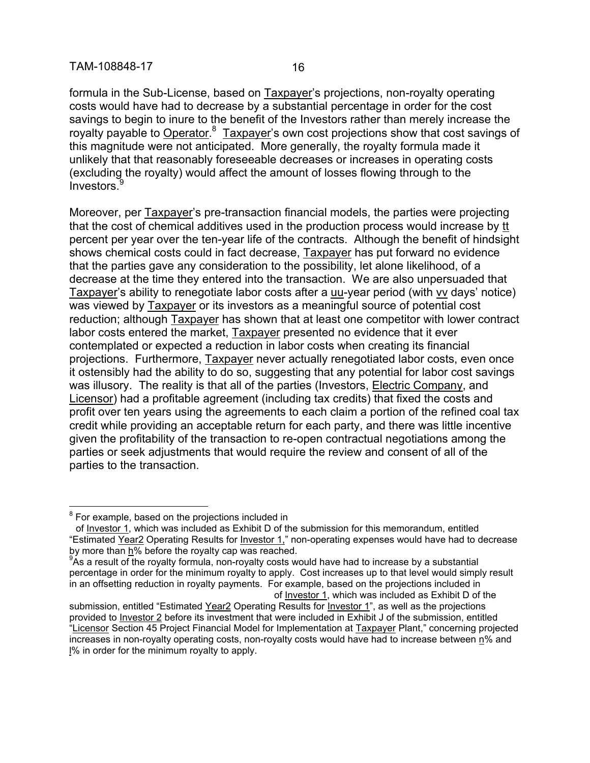formula in the Sub-License, based on Taxpayer's projections, non-royalty operating costs would have had to decrease by a substantial percentage in order for the cost savings to begin to inure to the benefit of the Investors rather than merely increase the royalty payable to Operator.<sup>8</sup> Taxpayer's own cost projections show that cost savings of this magnitude were not anticipated. More generally, the royalty formula made it unlikely that that reasonably foreseeable decreases or increases in operating costs (excluding the royalty) would affect the amount of losses flowing through to the Investors.

Moreover, per Taxpayer's pre-transaction financial models, the parties were projecting that the cost of chemical additives used in the production process would increase by  $tt$ </u> percent per year over the ten-year life of the contracts. Although the benefit of hindsight shows chemical costs could in fact decrease, Taxpayer has put forward no evidence that the parties gave any consideration to the possibility, let alone likelihood, of a decrease at the time they entered into the transaction. We are also unpersuaded that Taxpayer's ability to renegotiate labor costs after a uu-year period (with vv days' notice) was viewed by Taxpayer or its investors as a meaningful source of potential cost reduction; although Taxpayer has shown that at least one competitor with lower contract labor costs entered the market, Taxpayer presented no evidence that it ever contemplated or expected a reduction in labor costs when creating its financial projections. Furthermore, Taxpayer never actually renegotiated labor costs, even once it ostensibly had the ability to do so, suggesting that any potential for labor cost savings was illusory. The reality is that all of the parties (Investors, Electric Company, and Licensor) had a profitable agreement (including tax credits) that fixed the costs and profit over ten years using the agreements to each claim a portion of the refined coal tax credit while providing an acceptable return for each party, and there was little incentive given the profitability of the transaction to re-open contractual negotiations among the parties or seek adjustments that would require the review and consent of all of the parties to the transaction.

 $\overline{a}$ 

 $<sup>8</sup>$  For example, based on the projections included in</sup>

of Investor 1, which was included as Exhibit D of the submission for this memorandum, entitled "Estimated Year2 Operating Results for Investor 1," non-operating expenses would have had to decrease by more than  $h\%$  before the royalty cap was reached.

<sup>&</sup>lt;sup>9</sup>As a result of the royalty formula, non-royalty costs would have had to increase by a substantial percentage in order for the minimum royalty to apply. Cost increases up to that level would simply result in an offsetting reduction in royalty payments. For example, based on the projections included in of Investor 1, which was included as Exhibit D of the

submission, entitled "Estimated Year2 Operating Results for Investor 1", as well as the projections provided to Investor 2 before its investment that were included in Exhibit J of the submission, entitled "Licensor Section 45 Project Financial Model for Implementation at Taxpayer Plant," concerning projected increases in non-royalty operating costs, non-royalty costs would have had to increase between n% and l% in order for the minimum royalty to apply.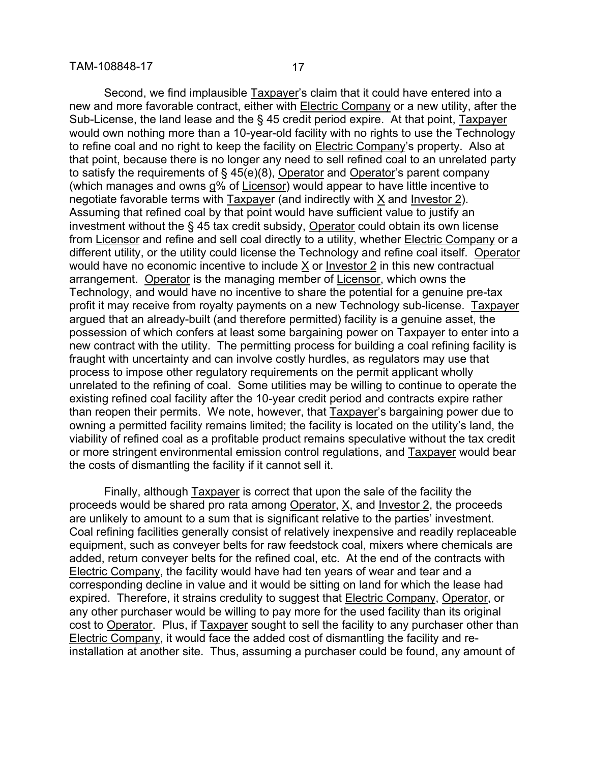Second, we find implausible Taxpayer's claim that it could have entered into a new and more favorable contract, either with Electric Company or a new utility, after the Sub-License, the land lease and the § 45 credit period expire. At that point, Taxpayer would own nothing more than a 10-year-old facility with no rights to use the Technology to refine coal and no right to keep the facility on Electric Company's property. Also at that point, because there is no longer any need to sell refined coal to an unrelated party to satisfy the requirements of  $\S$  45(e)(8), Operator and Operator's parent company (which manages and owns g% of Licensor) would appear to have little incentive to negotiate favorable terms with Taxpayer (and indirectly with X and Investor 2). Assuming that refined coal by that point would have sufficient value to justify an investment without the § 45 tax credit subsidy, Operator could obtain its own license from Licensor and refine and sell coal directly to a utility, whether Electric Company or a different utility, or the utility could license the Technology and refine coal itself. Operator would have no economic incentive to include X or Investor 2 in this new contractual arrangement. Operator is the managing member of Licensor, which owns the Technology, and would have no incentive to share the potential for a genuine pre-tax profit it may receive from royalty payments on a new Technology sub-license. Taxpayer argued that an already-built (and therefore permitted) facility is a genuine asset, the possession of which confers at least some bargaining power on Taxpayer to enter into a new contract with the utility. The permitting process for building a coal refining facility is fraught with uncertainty and can involve costly hurdles, as regulators may use that process to impose other regulatory requirements on the permit applicant wholly unrelated to the refining of coal. Some utilities may be willing to continue to operate the existing refined coal facility after the 10-year credit period and contracts expire rather than reopen their permits. We note, however, that Taxpayer's bargaining power due to owning a permitted facility remains limited; the facility is located on the utility's land, the viability of refined coal as a profitable product remains speculative without the tax credit or more stringent environmental emission control regulations, and Taxpayer would bear the costs of dismantling the facility if it cannot sell it.

Finally, although Taxpayer is correct that upon the sale of the facility the proceeds would be shared pro rata among Operator, X, and Investor 2, the proceeds are unlikely to amount to a sum that is significant relative to the parties' investment. Coal refining facilities generally consist of relatively inexpensive and readily replaceable equipment, such as conveyer belts for raw feedstock coal, mixers where chemicals are added, return conveyer belts for the refined coal, etc. At the end of the contracts with Electric Company, the facility would have had ten years of wear and tear and a corresponding decline in value and it would be sitting on land for which the lease had expired. Therefore, it strains credulity to suggest that Electric Company, Operator, or any other purchaser would be willing to pay more for the used facility than its original cost to Operator. Plus, if Taxpayer sought to sell the facility to any purchaser other than Electric Company, it would face the added cost of dismantling the facility and reinstallation at another site. Thus, assuming a purchaser could be found, any amount of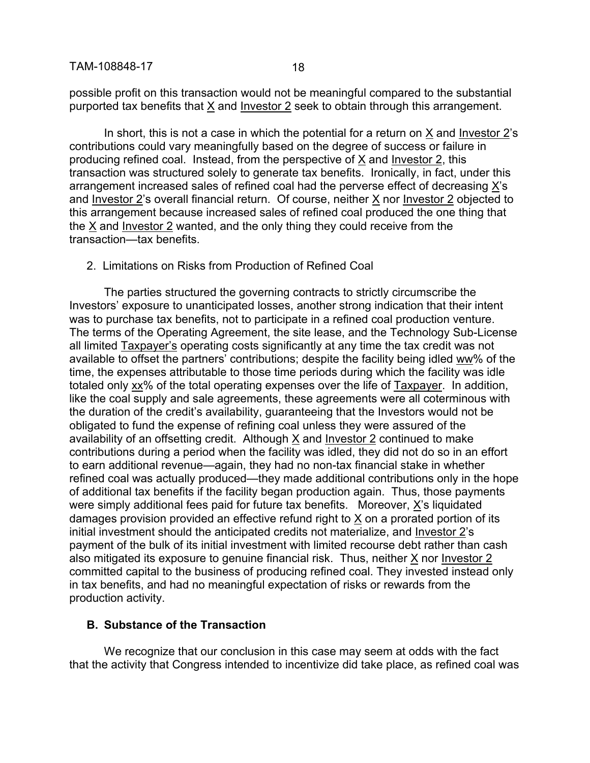possible profit on this transaction would not be meaningful compared to the substantial purported tax benefits that X and Investor 2 seek to obtain through this arrangement.

In short, this is not a case in which the potential for a return on X and Investor 2's contributions could vary meaningfully based on the degree of success or failure in producing refined coal. Instead, from the perspective of X and Investor 2, this transaction was structured solely to generate tax benefits. Ironically, in fact, under this arrangement increased sales of refined coal had the perverse effect of decreasing X's and Investor 2's overall financial return. Of course, neither X nor Investor 2 objected to this arrangement because increased sales of refined coal produced the one thing that the X and Investor 2 wanted, and the only thing they could receive from the transaction—tax benefits.

#### 2. Limitations on Risks from Production of Refined Coal

The parties structured the governing contracts to strictly circumscribe the Investors' exposure to unanticipated losses, another strong indication that their intent was to purchase tax benefits, not to participate in a refined coal production venture. The terms of the Operating Agreement, the site lease, and the Technology Sub-License all limited Taxpayer's operating costs significantly at any time the tax credit was not available to offset the partners' contributions; despite the facility being idled ww% of the time, the expenses attributable to those time periods during which the facility was idle totaled only xx% of the total operating expenses over the life of Taxpayer. In addition, like the coal supply and sale agreements, these agreements were all coterminous with the duration of the credit's availability, guaranteeing that the Investors would not be obligated to fund the expense of refining coal unless they were assured of the availability of an offsetting credit. Although X and Investor 2 continued to make contributions during a period when the facility was idled, they did not do so in an effort to earn additional revenue—again, they had no non-tax financial stake in whether refined coal was actually produced—they made additional contributions only in the hope of additional tax benefits if the facility began production again. Thus, those payments were simply additional fees paid for future tax benefits. Moreover, X's liquidated damages provision provided an effective refund right to X on a prorated portion of its initial investment should the anticipated credits not materialize, and Investor 2's payment of the bulk of its initial investment with limited recourse debt rather than cash also mitigated its exposure to genuine financial risk. Thus, neither X nor Investor 2 committed capital to the business of producing refined coal. They invested instead only in tax benefits, and had no meaningful expectation of risks or rewards from the production activity.

#### **B. Substance of the Transaction**

We recognize that our conclusion in this case may seem at odds with the fact that the activity that Congress intended to incentivize did take place, as refined coal was